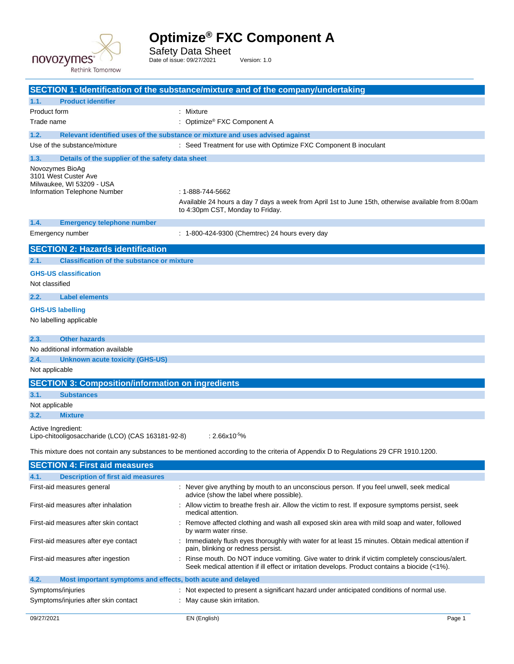

Safety Data Sheet Date of issue: 09/27/2021 Version: 1.0

|                                                                                                      | SECTION 1: Identification of the substance/mixture and of the company/undertaking                                                                                                                  |
|------------------------------------------------------------------------------------------------------|----------------------------------------------------------------------------------------------------------------------------------------------------------------------------------------------------|
| 1.1.<br><b>Product identifier</b>                                                                    |                                                                                                                                                                                                    |
| Product form                                                                                         | : Mixture                                                                                                                                                                                          |
| Trade name                                                                                           | : Optimize <sup>®</sup> FXC Component A                                                                                                                                                            |
| 1.2.                                                                                                 | Relevant identified uses of the substance or mixture and uses advised against                                                                                                                      |
| Use of the substance/mixture                                                                         | : Seed Treatment for use with Optimize FXC Component B inoculant                                                                                                                                   |
| 1.3.<br>Details of the supplier of the safety data sheet                                             |                                                                                                                                                                                                    |
| Novozymes BioAg<br>3101 West Custer Ave<br>Milwaukee, WI 53209 - USA<br>Information Telephone Number | $: 1 - 888 - 744 - 5662$<br>Available 24 hours a day 7 days a week from April 1st to June 15th, otherwise available from 8:00am<br>to 4:30pm CST, Monday to Friday.                                |
| 1.4.<br><b>Emergency telephone number</b>                                                            |                                                                                                                                                                                                    |
| Emergency number                                                                                     | : 1-800-424-9300 (Chemtrec) 24 hours every day                                                                                                                                                     |
| <b>SECTION 2: Hazards identification</b>                                                             |                                                                                                                                                                                                    |
| 2.1.<br><b>Classification of the substance or mixture</b>                                            |                                                                                                                                                                                                    |
| <b>GHS-US classification</b><br>Not classified                                                       |                                                                                                                                                                                                    |
| 2.2.<br><b>Label elements</b>                                                                        |                                                                                                                                                                                                    |
|                                                                                                      |                                                                                                                                                                                                    |
| <b>GHS-US labelling</b><br>No labelling applicable                                                   |                                                                                                                                                                                                    |
| 2.3.<br><b>Other hazards</b>                                                                         |                                                                                                                                                                                                    |
| No additional information available                                                                  |                                                                                                                                                                                                    |
| 2.4.<br><b>Unknown acute toxicity (GHS-US)</b>                                                       |                                                                                                                                                                                                    |
| Not applicable                                                                                       |                                                                                                                                                                                                    |
| <b>SECTION 3: Composition/information on ingredients</b>                                             |                                                                                                                                                                                                    |
| 3.1.<br><b>Substances</b>                                                                            |                                                                                                                                                                                                    |
| Not applicable                                                                                       |                                                                                                                                                                                                    |
| <b>Mixture</b><br>3.2.                                                                               |                                                                                                                                                                                                    |
| Active Ingredient:<br>Lipo-chitooligosaccharide (LCO) (CAS 163181-92-8)                              | $: 2.66x10^{-5}\%$                                                                                                                                                                                 |
|                                                                                                      | This mixture does not contain any substances to be mentioned according to the criteria of Appendix D to Regulations 29 CFR 1910.1200.                                                              |
| <b>SECTION 4: First aid measures</b>                                                                 |                                                                                                                                                                                                    |
| <b>Description of first aid measures</b><br>4.1.                                                     |                                                                                                                                                                                                    |
| First-aid measures general                                                                           | Never give anything by mouth to an unconscious person. If you feel unwell, seek medical<br>advice (show the label where possible).                                                                 |
| First-aid measures after inhalation                                                                  | Allow victim to breathe fresh air. Allow the victim to rest. If exposure symptoms persist, seek<br>medical attention.                                                                              |
| First-aid measures after skin contact                                                                | Remove affected clothing and wash all exposed skin area with mild soap and water, followed<br>by warm water rinse.                                                                                 |
| First-aid measures after eye contact                                                                 | : Immediately flush eyes thoroughly with water for at least 15 minutes. Obtain medical attention if<br>pain, blinking or redness persist.                                                          |
| First-aid measures after ingestion                                                                   | : Rinse mouth. Do NOT induce vomiting. Give water to drink if victim completely conscious/alert.<br>Seek medical attention if ill effect or irritation develops. Product contains a biocide (<1%). |
| 4.2.<br>Most important symptoms and effects, both acute and delayed                                  |                                                                                                                                                                                                    |
| Symptoms/injuries                                                                                    | : Not expected to present a significant hazard under anticipated conditions of normal use.                                                                                                         |

Symptoms/injuries after skin contact : May cause skin irritation.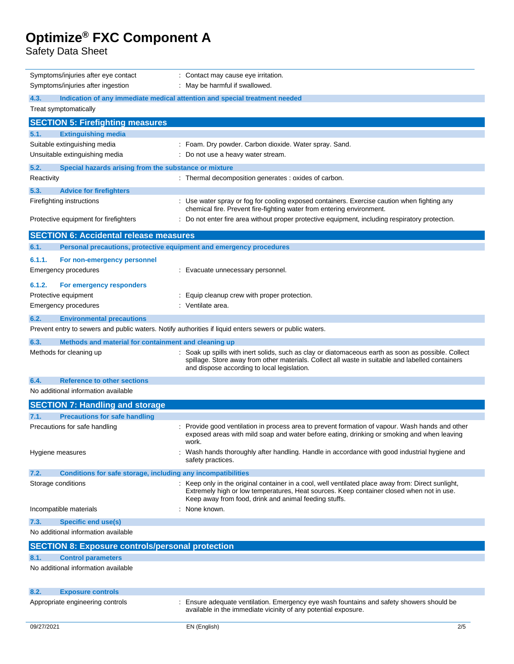Safety Data Sheet

| Symptoms/injuries after eye contact                                                                     | : Contact may cause eye irritation.                                                                                                                                                                                                                     |  |
|---------------------------------------------------------------------------------------------------------|---------------------------------------------------------------------------------------------------------------------------------------------------------------------------------------------------------------------------------------------------------|--|
| Symptoms/injuries after ingestion                                                                       | : May be harmful if swallowed.                                                                                                                                                                                                                          |  |
| 4.3.                                                                                                    |                                                                                                                                                                                                                                                         |  |
| Indication of any immediate medical attention and special treatment needed<br>Treat symptomatically     |                                                                                                                                                                                                                                                         |  |
| <b>SECTION 5: Firefighting measures</b>                                                                 |                                                                                                                                                                                                                                                         |  |
| 5.1.                                                                                                    |                                                                                                                                                                                                                                                         |  |
| <b>Extinguishing media</b><br>Suitable extinguishing media                                              | : Foam. Dry powder. Carbon dioxide. Water spray. Sand.                                                                                                                                                                                                  |  |
| Unsuitable extinguishing media                                                                          | : Do not use a heavy water stream.                                                                                                                                                                                                                      |  |
| 5.2.<br>Special hazards arising from the substance or mixture                                           |                                                                                                                                                                                                                                                         |  |
| Reactivity                                                                                              | : Thermal decomposition generates : oxides of carbon.                                                                                                                                                                                                   |  |
|                                                                                                         |                                                                                                                                                                                                                                                         |  |
| 5.3.<br><b>Advice for firefighters</b><br>Firefighting instructions                                     | : Use water spray or fog for cooling exposed containers. Exercise caution when fighting any                                                                                                                                                             |  |
|                                                                                                         | chemical fire. Prevent fire-fighting water from entering environment.                                                                                                                                                                                   |  |
| Protective equipment for firefighters                                                                   | : Do not enter fire area without proper protective equipment, including respiratory protection.                                                                                                                                                         |  |
| <b>SECTION 6: Accidental release measures</b>                                                           |                                                                                                                                                                                                                                                         |  |
|                                                                                                         |                                                                                                                                                                                                                                                         |  |
| 6.1.<br>Personal precautions, protective equipment and emergency procedures                             |                                                                                                                                                                                                                                                         |  |
| 6.1.1.<br>For non-emergency personnel                                                                   |                                                                                                                                                                                                                                                         |  |
| Emergency procedures                                                                                    | : Evacuate unnecessary personnel.                                                                                                                                                                                                                       |  |
| 6.1.2.<br>For emergency responders                                                                      |                                                                                                                                                                                                                                                         |  |
| Protective equipment                                                                                    | : Equip cleanup crew with proper protection.                                                                                                                                                                                                            |  |
| <b>Emergency procedures</b>                                                                             | : Ventilate area.                                                                                                                                                                                                                                       |  |
| 6.2.<br><b>Environmental precautions</b>                                                                |                                                                                                                                                                                                                                                         |  |
| Prevent entry to sewers and public waters. Notify authorities if liquid enters sewers or public waters. |                                                                                                                                                                                                                                                         |  |
| 6.3.<br>Methods and material for containment and cleaning up                                            |                                                                                                                                                                                                                                                         |  |
| Methods for cleaning up                                                                                 | Soak up spills with inert solids, such as clay or diatomaceous earth as soon as possible. Collect<br>spillage. Store away from other materials. Collect all waste in suitable and labelled containers<br>and dispose according to local legislation.    |  |
| <b>Reference to other sections</b><br>6.4.                                                              |                                                                                                                                                                                                                                                         |  |
| No additional information available                                                                     |                                                                                                                                                                                                                                                         |  |
| <b>SECTION 7: Handling and storage</b>                                                                  |                                                                                                                                                                                                                                                         |  |
| <b>Precautions for safe handling</b><br>7.1.                                                            |                                                                                                                                                                                                                                                         |  |
| Precautions for safe handling                                                                           | : Provide good ventilation in process area to prevent formation of vapour. Wash hands and other<br>exposed areas with mild soap and water before eating, drinking or smoking and when leaving<br>work                                                   |  |
| Hygiene measures                                                                                        | : Wash hands thoroughly after handling. Handle in accordance with good industrial hygiene and<br>safety practices.                                                                                                                                      |  |
| 7.2.<br>Conditions for safe storage, including any incompatibilities                                    |                                                                                                                                                                                                                                                         |  |
| Storage conditions                                                                                      | : Keep only in the original container in a cool, well ventilated place away from: Direct sunlight,<br>Extremely high or low temperatures, Heat sources. Keep container closed when not in use.<br>Keep away from food, drink and animal feeding stuffs. |  |
| Incompatible materials                                                                                  | : None known.                                                                                                                                                                                                                                           |  |
| <b>Specific end use(s)</b><br>7.3.                                                                      |                                                                                                                                                                                                                                                         |  |
| No additional information available                                                                     |                                                                                                                                                                                                                                                         |  |
| <b>SECTION 8: Exposure controls/personal protection</b>                                                 |                                                                                                                                                                                                                                                         |  |
| <b>Control parameters</b><br>8.1.                                                                       |                                                                                                                                                                                                                                                         |  |
| No additional information available                                                                     |                                                                                                                                                                                                                                                         |  |
|                                                                                                         |                                                                                                                                                                                                                                                         |  |
| 8.2.<br><b>Exposure controls</b>                                                                        |                                                                                                                                                                                                                                                         |  |
| Appropriate engineering controls                                                                        | : Ensure adequate ventilation. Emergency eye wash fountains and safety showers should be<br>available in the immediate vicinity of any potential exposure.                                                                                              |  |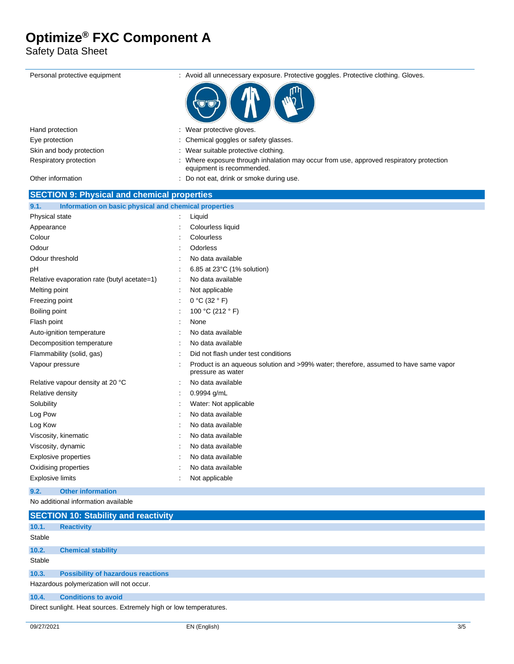Safety Data Sheet

| Wear protective gloves.<br>Chemical goggles or safety glasses.<br>Wear suitable protective clothing.<br>Where exposure through inhalation may occur from use, approved respiratory protection<br>equipment is recommended.<br>: Do not eat, drink or smoke during use.<br><b>SECTION 9: Physical and chemical properties</b><br>Information on basic physical and chemical properties<br>Liquid<br>Colourless liquid<br>Colourless<br>Odorless<br>Odour<br>Odour threshold<br>No data available<br>6.85 at 23°C (1% solution)<br>рH<br>No data available<br>Relative evaporation rate (butyl acetate=1)<br>Melting point<br>Not applicable<br>$0 °C$ (32 $ °F$ )<br>Freezing point<br>100 °C (212 ° F)<br><b>Boiling point</b><br>Flash point<br>None<br>Auto-ignition temperature<br>No data available<br>No data available<br>Decomposition temperature<br>Flammability (solid, gas)<br>Did not flash under test conditions<br>Product is an aqueous solution and >99% water; therefore, assumed to have same vapor<br>pressure as water<br>No data available<br>Relative density<br>0.9994 g/mL<br>Solubility<br>Water: Not applicable<br>Log Pow<br>No data available<br>Log Kow<br>No data available<br>Viscosity, kinematic<br>No data available<br>Viscosity, dynamic<br>No data available<br>No data available<br><b>Explosive properties</b><br>Oxidising properties<br>No data available<br>Not applicable<br><b>Other information</b><br>No additional information available | Personal protective equipment    | : Avoid all unnecessary exposure. Protective goggles. Protective clothing. Gloves. |
|-----------------------------------------------------------------------------------------------------------------------------------------------------------------------------------------------------------------------------------------------------------------------------------------------------------------------------------------------------------------------------------------------------------------------------------------------------------------------------------------------------------------------------------------------------------------------------------------------------------------------------------------------------------------------------------------------------------------------------------------------------------------------------------------------------------------------------------------------------------------------------------------------------------------------------------------------------------------------------------------------------------------------------------------------------------------------------------------------------------------------------------------------------------------------------------------------------------------------------------------------------------------------------------------------------------------------------------------------------------------------------------------------------------------------------------------------------------------------------------------|----------------------------------|------------------------------------------------------------------------------------|
|                                                                                                                                                                                                                                                                                                                                                                                                                                                                                                                                                                                                                                                                                                                                                                                                                                                                                                                                                                                                                                                                                                                                                                                                                                                                                                                                                                                                                                                                                         |                                  |                                                                                    |
|                                                                                                                                                                                                                                                                                                                                                                                                                                                                                                                                                                                                                                                                                                                                                                                                                                                                                                                                                                                                                                                                                                                                                                                                                                                                                                                                                                                                                                                                                         | Hand protection                  |                                                                                    |
|                                                                                                                                                                                                                                                                                                                                                                                                                                                                                                                                                                                                                                                                                                                                                                                                                                                                                                                                                                                                                                                                                                                                                                                                                                                                                                                                                                                                                                                                                         | Eye protection                   |                                                                                    |
|                                                                                                                                                                                                                                                                                                                                                                                                                                                                                                                                                                                                                                                                                                                                                                                                                                                                                                                                                                                                                                                                                                                                                                                                                                                                                                                                                                                                                                                                                         | Skin and body protection         |                                                                                    |
|                                                                                                                                                                                                                                                                                                                                                                                                                                                                                                                                                                                                                                                                                                                                                                                                                                                                                                                                                                                                                                                                                                                                                                                                                                                                                                                                                                                                                                                                                         | Respiratory protection           |                                                                                    |
|                                                                                                                                                                                                                                                                                                                                                                                                                                                                                                                                                                                                                                                                                                                                                                                                                                                                                                                                                                                                                                                                                                                                                                                                                                                                                                                                                                                                                                                                                         | Other information                |                                                                                    |
|                                                                                                                                                                                                                                                                                                                                                                                                                                                                                                                                                                                                                                                                                                                                                                                                                                                                                                                                                                                                                                                                                                                                                                                                                                                                                                                                                                                                                                                                                         |                                  |                                                                                    |
|                                                                                                                                                                                                                                                                                                                                                                                                                                                                                                                                                                                                                                                                                                                                                                                                                                                                                                                                                                                                                                                                                                                                                                                                                                                                                                                                                                                                                                                                                         | 9.1.                             |                                                                                    |
|                                                                                                                                                                                                                                                                                                                                                                                                                                                                                                                                                                                                                                                                                                                                                                                                                                                                                                                                                                                                                                                                                                                                                                                                                                                                                                                                                                                                                                                                                         | Physical state                   |                                                                                    |
|                                                                                                                                                                                                                                                                                                                                                                                                                                                                                                                                                                                                                                                                                                                                                                                                                                                                                                                                                                                                                                                                                                                                                                                                                                                                                                                                                                                                                                                                                         | Appearance                       |                                                                                    |
|                                                                                                                                                                                                                                                                                                                                                                                                                                                                                                                                                                                                                                                                                                                                                                                                                                                                                                                                                                                                                                                                                                                                                                                                                                                                                                                                                                                                                                                                                         | Colour                           |                                                                                    |
|                                                                                                                                                                                                                                                                                                                                                                                                                                                                                                                                                                                                                                                                                                                                                                                                                                                                                                                                                                                                                                                                                                                                                                                                                                                                                                                                                                                                                                                                                         |                                  |                                                                                    |
|                                                                                                                                                                                                                                                                                                                                                                                                                                                                                                                                                                                                                                                                                                                                                                                                                                                                                                                                                                                                                                                                                                                                                                                                                                                                                                                                                                                                                                                                                         |                                  |                                                                                    |
|                                                                                                                                                                                                                                                                                                                                                                                                                                                                                                                                                                                                                                                                                                                                                                                                                                                                                                                                                                                                                                                                                                                                                                                                                                                                                                                                                                                                                                                                                         |                                  |                                                                                    |
|                                                                                                                                                                                                                                                                                                                                                                                                                                                                                                                                                                                                                                                                                                                                                                                                                                                                                                                                                                                                                                                                                                                                                                                                                                                                                                                                                                                                                                                                                         |                                  |                                                                                    |
|                                                                                                                                                                                                                                                                                                                                                                                                                                                                                                                                                                                                                                                                                                                                                                                                                                                                                                                                                                                                                                                                                                                                                                                                                                                                                                                                                                                                                                                                                         |                                  |                                                                                    |
|                                                                                                                                                                                                                                                                                                                                                                                                                                                                                                                                                                                                                                                                                                                                                                                                                                                                                                                                                                                                                                                                                                                                                                                                                                                                                                                                                                                                                                                                                         |                                  |                                                                                    |
|                                                                                                                                                                                                                                                                                                                                                                                                                                                                                                                                                                                                                                                                                                                                                                                                                                                                                                                                                                                                                                                                                                                                                                                                                                                                                                                                                                                                                                                                                         |                                  |                                                                                    |
|                                                                                                                                                                                                                                                                                                                                                                                                                                                                                                                                                                                                                                                                                                                                                                                                                                                                                                                                                                                                                                                                                                                                                                                                                                                                                                                                                                                                                                                                                         |                                  |                                                                                    |
|                                                                                                                                                                                                                                                                                                                                                                                                                                                                                                                                                                                                                                                                                                                                                                                                                                                                                                                                                                                                                                                                                                                                                                                                                                                                                                                                                                                                                                                                                         |                                  |                                                                                    |
|                                                                                                                                                                                                                                                                                                                                                                                                                                                                                                                                                                                                                                                                                                                                                                                                                                                                                                                                                                                                                                                                                                                                                                                                                                                                                                                                                                                                                                                                                         |                                  |                                                                                    |
|                                                                                                                                                                                                                                                                                                                                                                                                                                                                                                                                                                                                                                                                                                                                                                                                                                                                                                                                                                                                                                                                                                                                                                                                                                                                                                                                                                                                                                                                                         |                                  |                                                                                    |
|                                                                                                                                                                                                                                                                                                                                                                                                                                                                                                                                                                                                                                                                                                                                                                                                                                                                                                                                                                                                                                                                                                                                                                                                                                                                                                                                                                                                                                                                                         | Vapour pressure                  |                                                                                    |
|                                                                                                                                                                                                                                                                                                                                                                                                                                                                                                                                                                                                                                                                                                                                                                                                                                                                                                                                                                                                                                                                                                                                                                                                                                                                                                                                                                                                                                                                                         | Relative vapour density at 20 °C |                                                                                    |
|                                                                                                                                                                                                                                                                                                                                                                                                                                                                                                                                                                                                                                                                                                                                                                                                                                                                                                                                                                                                                                                                                                                                                                                                                                                                                                                                                                                                                                                                                         |                                  |                                                                                    |
|                                                                                                                                                                                                                                                                                                                                                                                                                                                                                                                                                                                                                                                                                                                                                                                                                                                                                                                                                                                                                                                                                                                                                                                                                                                                                                                                                                                                                                                                                         |                                  |                                                                                    |
|                                                                                                                                                                                                                                                                                                                                                                                                                                                                                                                                                                                                                                                                                                                                                                                                                                                                                                                                                                                                                                                                                                                                                                                                                                                                                                                                                                                                                                                                                         |                                  |                                                                                    |
|                                                                                                                                                                                                                                                                                                                                                                                                                                                                                                                                                                                                                                                                                                                                                                                                                                                                                                                                                                                                                                                                                                                                                                                                                                                                                                                                                                                                                                                                                         |                                  |                                                                                    |
|                                                                                                                                                                                                                                                                                                                                                                                                                                                                                                                                                                                                                                                                                                                                                                                                                                                                                                                                                                                                                                                                                                                                                                                                                                                                                                                                                                                                                                                                                         |                                  |                                                                                    |
|                                                                                                                                                                                                                                                                                                                                                                                                                                                                                                                                                                                                                                                                                                                                                                                                                                                                                                                                                                                                                                                                                                                                                                                                                                                                                                                                                                                                                                                                                         |                                  |                                                                                    |
|                                                                                                                                                                                                                                                                                                                                                                                                                                                                                                                                                                                                                                                                                                                                                                                                                                                                                                                                                                                                                                                                                                                                                                                                                                                                                                                                                                                                                                                                                         |                                  |                                                                                    |
|                                                                                                                                                                                                                                                                                                                                                                                                                                                                                                                                                                                                                                                                                                                                                                                                                                                                                                                                                                                                                                                                                                                                                                                                                                                                                                                                                                                                                                                                                         |                                  |                                                                                    |
|                                                                                                                                                                                                                                                                                                                                                                                                                                                                                                                                                                                                                                                                                                                                                                                                                                                                                                                                                                                                                                                                                                                                                                                                                                                                                                                                                                                                                                                                                         | <b>Explosive limits</b>          |                                                                                    |
|                                                                                                                                                                                                                                                                                                                                                                                                                                                                                                                                                                                                                                                                                                                                                                                                                                                                                                                                                                                                                                                                                                                                                                                                                                                                                                                                                                                                                                                                                         | 9.2.                             |                                                                                    |
|                                                                                                                                                                                                                                                                                                                                                                                                                                                                                                                                                                                                                                                                                                                                                                                                                                                                                                                                                                                                                                                                                                                                                                                                                                                                                                                                                                                                                                                                                         |                                  |                                                                                    |
| <b>SECTION 10: Stability and reactivity</b>                                                                                                                                                                                                                                                                                                                                                                                                                                                                                                                                                                                                                                                                                                                                                                                                                                                                                                                                                                                                                                                                                                                                                                                                                                                                                                                                                                                                                                             |                                  |                                                                                    |

| 10.1.  | <b>Reactivity</b>                                                  |
|--------|--------------------------------------------------------------------|
| Stable |                                                                    |
| 10.2.  | <b>Chemical stability</b>                                          |
| Stable |                                                                    |
| 10.3.  | <b>Possibility of hazardous reactions</b>                          |
|        | Hazardous polymerization will not occur.                           |
| 10.4.  | <b>Conditions to avoid</b>                                         |
|        | Direct sunlight. Heat sources. Extremely high or low temperatures. |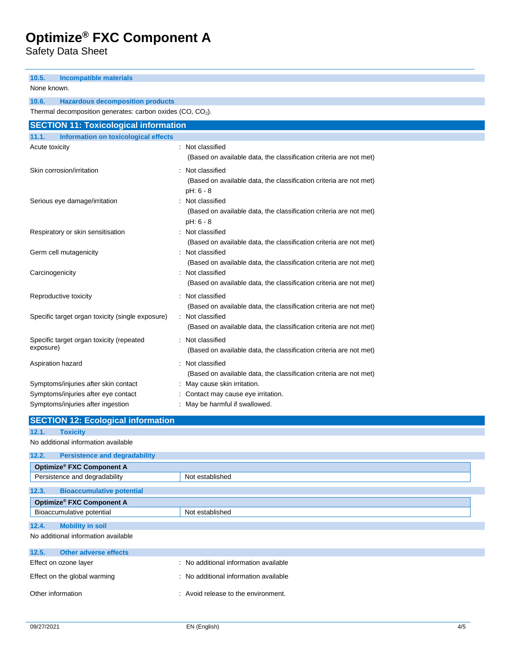Safety Data Sheet

**10.5. Incompatible materials** None known. **10.6. Hazardous decomposition products** Thermal decomposition generates: carbon oxides (CO, CO2). **SECTION 11: Toxicological information 11.1. Information on toxicological effects** Acute toxicity in the contract of the classified in the classified in the classified in the classified in the classified in the classified in the classified in the classified in the classified in the classified in the clas (Based on available data, the classification criteria are not met) Skin corrosion/irritation : Not classified (Based on available data, the classification criteria are not met) pH: 6 - 8 Serious eye damage/irritation : Not classified (Based on available data, the classification criteria are not met) pH: 6 - 8 Respiratory or skin sensitisation : Not classified (Based on available data, the classification criteria are not met) Germ cell mutagenicity **in the case of the Contract Contract Contract Contract Contract Contract Contract Contract Contract Contract Contract Contract Contract Contract Contract Contract Contract Contract Contract Contract** (Based on available data, the classification criteria are not met) Carcinogenicity **Carcinogenicity 1999 Carcinogenicity Carcinogenicity Carcial Structure 2009 Carcial Structure 2009 Carcial Structure 2009 Carcial Structure 2009 Carcial Structure 2009 Carcial Structure 2** (Based on available data, the classification criteria are not met) Reproductive toxicity in the set of the Reproductive toxicity in the set of the Reproductive toxicity (Based on available data, the classification criteria are not met) Specific target organ toxicity (single exposure) : Not classified (Based on available data, the classification criteria are not met) Specific target organ toxicity (repeated exposure) : Not classified (Based on available data, the classification criteria are not met) Aspiration hazard **in the set of the set of the set of the set of the set of the set of the set of the set of the set of the set of the set of the set of the set of the set of the set of the set of the set of the set of th** (Based on available data, the classification criteria are not met) Symptoms/injuries after skin contact : May cause skin irritation. Symptoms/injuries after eye contact : Contact may cause eye irritation. Symptoms/injuries after ingestion : May be harmful if swallowed. **SECTION 12: Ecological information 12.1. Toxicity** No additional information available **12.2. Persistence and degradability Optimize ® FXC Component A** Persistence and degradability Not established **12.3. Bioaccumulative potential Optimize ® FXC Component A** Bioaccumulative potential Not established **12.4. Mobility in soil**

No additional information available

| 12.5.<br>Other adverse effects |                                       |
|--------------------------------|---------------------------------------|
| Effect on ozone layer          | : No additional information available |
| Effect on the global warming   | : No additional information available |
| Other information              | : Avoid release to the environment.   |